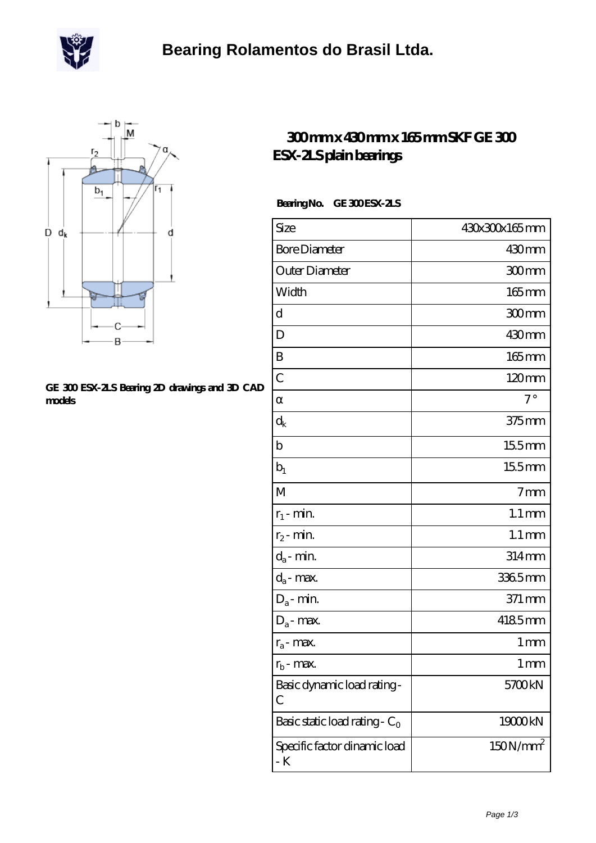



## **[GE 300 ESX-2LS Bearing 2D drawings and 3D CAD](https://m.scottrobertalexander.com/pic-539764.html) [models](https://m.scottrobertalexander.com/pic-539764.html)**

## **[300 mm x 430 mm x 165 mm SKF GE 300](https://m.scottrobertalexander.com/skf-ge-300-esx-2ls-bearing/) [ESX-2LS plain bearings](https://m.scottrobertalexander.com/skf-ge-300-esx-2ls-bearing/)**

## Bearing No. GE 300 ESX-2LS

| Size                                      | 430x300x165mm        |
|-------------------------------------------|----------------------|
| <b>Bore Diameter</b>                      | 430mm                |
| Outer Diameter                            | 300mm                |
| Width                                     | $165$ mm             |
| d                                         | 300mm                |
| D                                         | 430mm                |
| B                                         | $165$ mm             |
| $\mathcal{C}$                             | $120 \text{mm}$      |
|                                           | $7^\circ$            |
| $\rm{d}_k$                                | $375$ mm             |
| $\mathbf b$                               | 155mm                |
| $b_1$                                     | 155mm                |
| M                                         | 7 <sub>mm</sub>      |
| $r_1$ - min.                              | $1.1 \,\mathrm{mm}$  |
| $r_2$ - min.                              | $1.1 \,\mathrm{mm}$  |
| $d_a$ - min.                              | 314mm                |
| $d_a$ - max.                              | 3365mm               |
| $\mathrm{D}_\mathrm{a}\text{-}$ min.      | 371 mm               |
| $D_a$ - max.                              | 4185mm               |
| $r_a$ - max.                              | 1 <sub>mm</sub>      |
| $r_{b}$ - max.                            | 1 <sub>mm</sub>      |
| Basic dynamic load rating-<br>С           | 5700kN               |
| Basic static load rating - C <sub>0</sub> | 19000kN              |
| Specific factor dinamic load<br>- K       | 150N/mm <sup>2</sup> |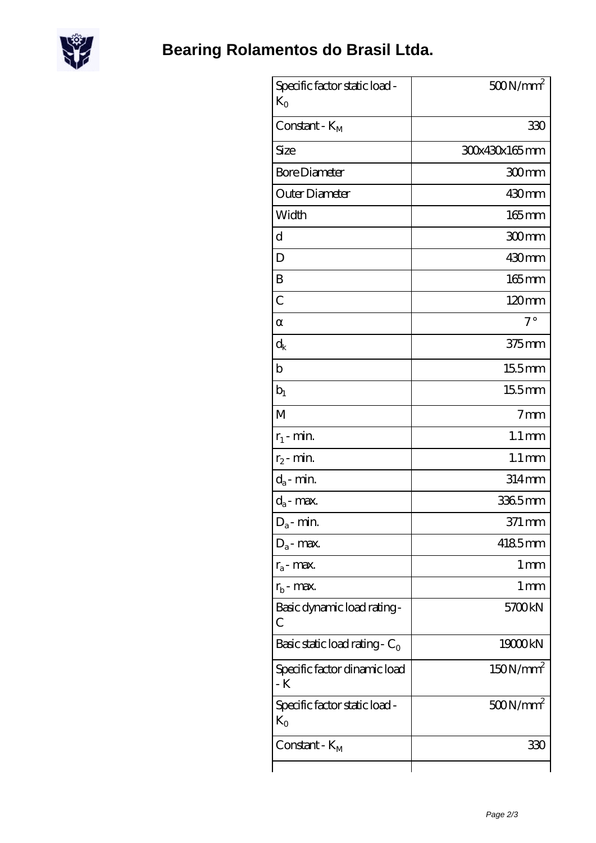

| Specific factor static load -<br>$K_{\Omega}$ | $500N/mm^2$          |
|-----------------------------------------------|----------------------|
| Constant - $K_M$                              | 330                  |
| Size                                          | 30x430x165mm         |
| <b>Bore Diameter</b>                          | 300mm                |
| Outer Diameter                                | 430mm                |
| Width                                         | 165mm                |
| d                                             | 300mm                |
| D                                             | 430mm                |
| B                                             | $165$ mm             |
| $\mathcal C$                                  | 120mm                |
|                                               | $7^{\circ}$          |
| $\rm{d}_k$                                    | $375$ mm             |
| b                                             | $155$ mm             |
| $b_1$                                         | $155$ mm             |
| M                                             | 7 <sub>mm</sub>      |
| $r_1$ - min.                                  | $1.1 \,\mathrm{mm}$  |
| $r_2$ - min.                                  | $1.1 \,\mathrm{mm}$  |
| $d_a$ - min.                                  | 314mm                |
| $d_a$ - max.                                  | 3365mm               |
| $D_a$ - min.                                  | 371 mm               |
| $D_a$ - max.                                  | 4185mm               |
| $r_a$ - max.                                  | $1 \,\mathrm{mm}$    |
| $r_{\rm b}$ - max.                            | $1 \,\mathrm{mm}$    |
| Basic dynamic load rating-<br>С               | 5700kN               |
| Basic static load rating - $C_0$              | 19000kN              |
| Specific factor dinamic load<br>- K           | 150N/mm <sup>2</sup> |
| Specific factor static load -<br>$K_{\Omega}$ | $500N/mm^2$          |
| Constant - K <sub>M</sub>                     | 33C                  |
|                                               |                      |